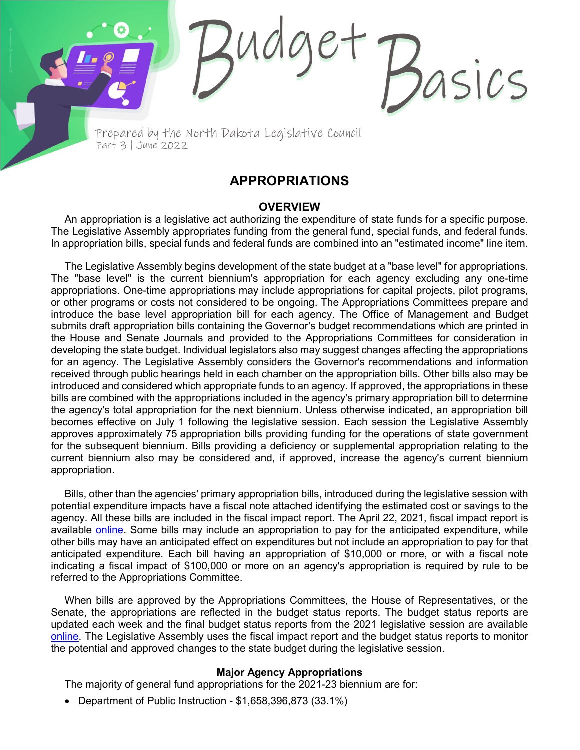Prepared by the North Dakota Legislative Council Part 3 | June 2022

# **APPROPRIATIONS**

sics

### **OVERVIEW**

An appropriation is a legislative act authorizing the expenditure of state funds for a specific purpose. The Legislative Assembly appropriates funding from the general fund, special funds, and federal funds. In appropriation bills, special funds and federal funds are combined into an "estimated income" line item.

The Legislative Assembly begins development of the state budget at a "base level" for appropriations. The "base level" is the current biennium's appropriation for each agency excluding any one-time appropriations. One-time appropriations may include appropriations for capital projects, pilot programs, or other programs or costs not considered to be ongoing. The Appropriations Committees prepare and introduce the base level appropriation bill for each agency. The Office of Management and Budget submits draft appropriation bills containing the Governor's budget recommendations which are printed in the House and Senate Journals and provided to the Appropriations Committees for consideration in developing the state budget. Individual legislators also may suggest changes affecting the appropriations for an agency. The Legislative Assembly considers the Governor's recommendations and information received through public hearings held in each chamber on the appropriation bills. Other bills also may be introduced and considered which appropriate funds to an agency. If approved, the appropriations in these bills are combined with the appropriations included in the agency's primary appropriation bill to determine the agency's total appropriation for the next biennium. Unless otherwise indicated, an appropriation bill becomes effective on July 1 following the legislative session. Each session the Legislative Assembly approves approximately 75 appropriation bills providing funding for the operations of state government for the subsequent biennium. Bills providing a deficiency or supplemental appropriation relating to the current biennium also may be considered and, if approved, increase the agency's current biennium appropriation.

Bills, other than the agencies' primary appropriation bills, introduced during the legislative session with potential expenditure impacts have a fiscal note attached identifying the estimated cost or savings to the agency. All these bills are included in the fiscal impact report. The April 22, 2021, fiscal impact report is available [online.](https://ndlegis.gov/files/fiscal/2021-23/docs/2021-23fiscalimpact.pdf) Some bills may include an appropriation to pay for the anticipated expenditure, while other bills may have an anticipated effect on expenditures but not include an appropriation to pay for that anticipated expenditure. Each bill having an appropriation of \$10,000 or more, or with a fiscal note indicating a fiscal impact of \$100,000 or more on an agency's appropriation is required by rule to be referred to the Appropriations Committee.

When bills are approved by the Appropriations Committees, the House of Representatives, or the Senate, the appropriations are reflected in the budget status reports. The budget status reports are updated each week and the final budget status reports from the 2021 legislative session are available [online.](https://ndlegis.gov/fiscal/67-2021/budget-status) The Legislative Assembly uses the fiscal impact report and the budget status reports to monitor the potential and approved changes to the state budget during the legislative session.

#### **Major Agency Appropriations**

The majority of general fund appropriations for the 2021-23 biennium are for:

• Department of Public Instruction - \$1,658,396,873 (33.1%)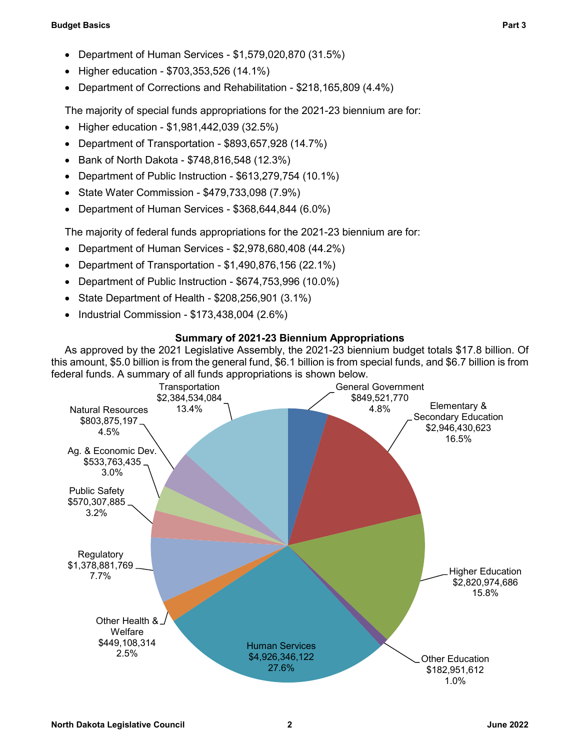#### **Budget Basics Part 3**

- Department of Human Services \$1,579,020,870 (31.5%)
- Higher education \$703,353,526 (14.1%)
- Department of Corrections and Rehabilitation \$218,165,809 (4.4%)

The majority of special funds appropriations for the 2021-23 biennium are for:

- Higher education \$1,981,442,039 (32.5%)
- Department of Transportation \$893,657,928 (14.7%)
- Bank of North Dakota \$748,816,548 (12.3%)
- Department of Public Instruction \$613,279,754 (10.1%)
- State Water Commission \$479,733,098 (7.9%)
- Department of Human Services \$368,644,844 (6.0%)

The majority of federal funds appropriations for the 2021-23 biennium are for:

- Department of Human Services \$2,978,680,408 (44.2%)
- Department of Transportation \$1,490,876,156 (22.1%)
- Department of Public Instruction \$674,753,996 (10.0%)
- State Department of Health \$208,256,901 (3.1%)
- Industrial Commission \$173,438,004 (2.6%)

## **Summary of 2021-23 Biennium Appropriations**

As approved by the 2021 Legislative Assembly, the 2021-23 biennium budget totals \$17.8 billion. Of this amount, \$5.0 billion is from the general fund, \$6.1 billion is from special funds, and \$6.7 billion is from federal funds. A summary of all funds appropriations is shown below.